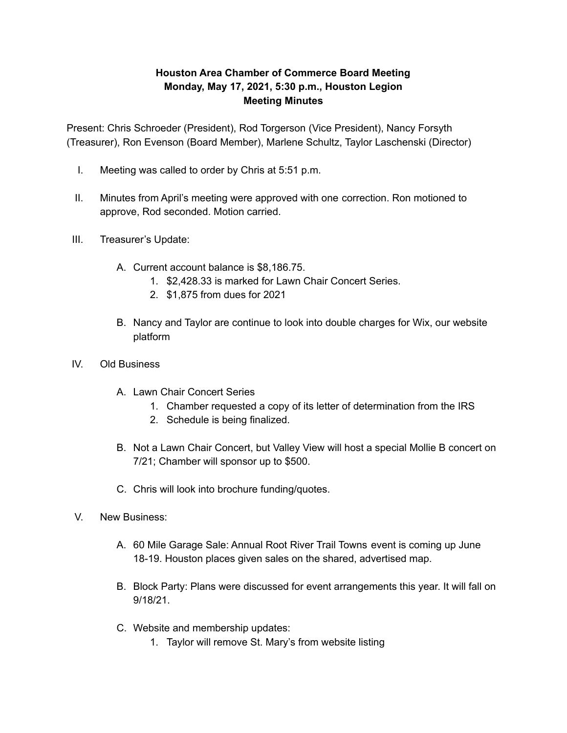## **Houston Area Chamber of Commerce Board Meeting Monday, May 17, 2021, 5:30 p.m., Houston Legion Meeting Minutes**

Present: Chris Schroeder (President), Rod Torgerson (Vice President), Nancy Forsyth (Treasurer), Ron Evenson (Board Member), Marlene Schultz, Taylor Laschenski (Director)

- I. Meeting was called to order by Chris at 5:51 p.m.
- II. Minutes from April's meeting were approved with one correction. Ron motioned to approve, Rod seconded. Motion carried.
- III. Treasurer's Update:
	- A. Current account balance is \$8,186.75.
		- 1. \$2,428.33 is marked for Lawn Chair Concert Series.
		- 2. \$1,875 from dues for 2021
	- B. Nancy and Taylor are continue to look into double charges for Wix, our website platform
- IV. Old Business
	- A. Lawn Chair Concert Series
		- 1. Chamber requested a copy of its letter of determination from the IRS
		- 2. Schedule is being finalized.
	- B. Not a Lawn Chair Concert, but Valley View will host a special Mollie B concert on 7/21; Chamber will sponsor up to \$500.
	- C. Chris will look into brochure funding/quotes.
- V. New Business:
	- A. 60 Mile Garage Sale: Annual Root River Trail Towns event is coming up June 18-19. Houston places given sales on the shared, advertised map.
	- B. Block Party: Plans were discussed for event arrangements this year. It will fall on 9/18/21.
	- C. Website and membership updates:
		- 1. Taylor will remove St. Mary's from website listing